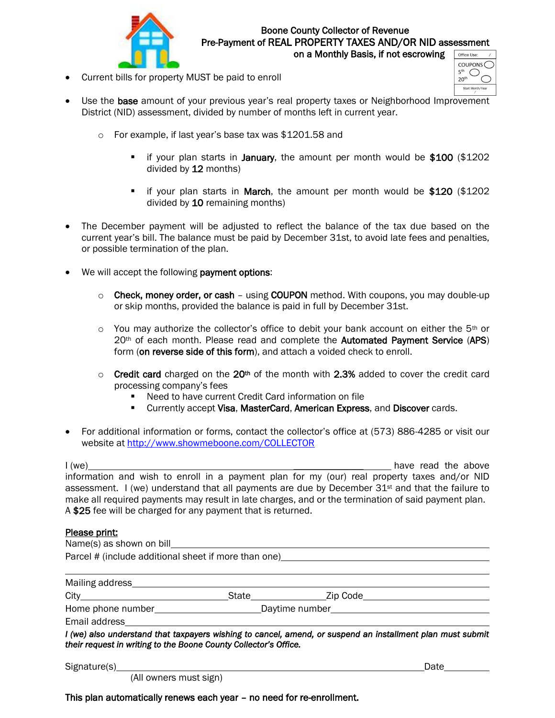

## Boone County Collector of Revenue Pre-Payment of REAL PROPERTY TAXES AND/OR NID assessment

on a Monthly Basis, if not escrowing

• Current bills for property MUST be paid to enroll

| Office Use:                                    |
|------------------------------------------------|
| COUPONS<br>5 <sup>th</sup><br>20 <sup>th</sup> |
| Start Month/Year                               |

- Use the base amount of your previous year's real property taxes or Neighborhood Improvement District (NID) assessment, divided by number of months left in current year.
	- o For example, if last year's base tax was \$1201.58 and
		- if your plan starts in **January**, the amount per month would be \$100 (\$1202) divided by 12 months)
		- if your plan starts in March, the amount per month would be \$120 (\$1202) divided by 10 remaining months)
- The December payment will be adjusted to reflect the balance of the tax due based on the current year's bill. The balance must be paid by December 31st, to avoid late fees and penalties, or possible termination of the plan.
- We will accept the following **payment options**:
	- $\circ$  Check, money order, or cash using COUPON method. With coupons, you may double-up or skip months, provided the balance is paid in full by December 31st.
	- o You may authorize the collector's office to debit your bank account on either the 5<sup>th</sup> or 20th of each month. Please read and complete the Automated Payment Service (APS) form (on reverse side of this form), and attach a voided check to enroll.
	- $\circ$  Credit card charged on the 20<sup>th</sup> of the month with 2.3% added to cover the credit card processing company's fees
		- Need to have current Credit Card information on file
		- **EXECUTE: Currently accept Visa, MasterCard, American Express, and Discover cards.**
- For additional information or forms, contact the collector's office at (573) 886-4285 or visit our website at <http://www.showmeboone.com/COLLECTOR>

I (we) and the above in the state of the above  $\frac{1}{2}$  have read the above information and wish to enroll in a payment plan for my (our) real property taxes and/or NID assessment. I (we) understand that all payments are due by December  $31st$  and that the failure to make all required payments may result in late charges, and or the termination of said payment plan. A \$25 fee will be charged for any payment that is returned.

#### Please print:

| Parcel # (include additional sheet if more than one) example and the control of the control of the parameter of the control of the control of the control of the control of the control of the control of the control of the c |       |                |  |  |  |  |  |  |
|--------------------------------------------------------------------------------------------------------------------------------------------------------------------------------------------------------------------------------|-------|----------------|--|--|--|--|--|--|
|                                                                                                                                                                                                                                |       |                |  |  |  |  |  |  |
| Mailing address                                                                                                                                                                                                                |       |                |  |  |  |  |  |  |
| City<br><u> 1980 - Jan Samuel Barbara, martin a</u>                                                                                                                                                                            | State | Zip Code       |  |  |  |  |  |  |
| Home phone number                                                                                                                                                                                                              |       | Daytime number |  |  |  |  |  |  |

Email address

*I* (we) also understand that taxpayers wishing to cancel, amend, or suspend an installment plan must submit *their request in writing to the Boone County Collector's Office.* 

Signature(s) Date Date of the Contract of the Contract of the Contract of the Contract of the Date Date of the Contract of the Contract of the Contract of the Contract of the Contract of the Contract of the Contract of the

(All owners must sign)

This plan automatically renews each year – no need for re-enrollment.